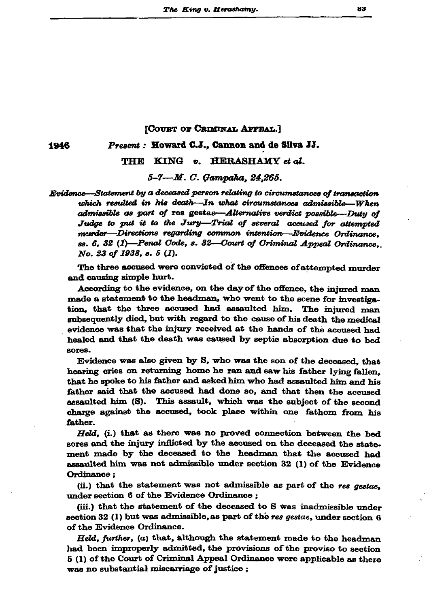## [COURT OF CRIMINAL APPEAL.]

1946

## Present: Howard C.J., Cannon and de Silva JJ.

THE KING v. HERASHAMY et al.

5-7-M. C. Gampaha, 24,265.

Evidence—Statement by a deceased person relating to circumstances of transaction which resulted in his death-In what circumstances admissible-When admissible as part of res gestae-Alternative verdict possible-Duty of Judge to put it to the Jury-Trial of several accused for attempted murder-Directions regarding common intention-Evidence Ordinance. ss. 6, 32 (1)—Penal Code, s. 32—Court of Criminal Appeal Ordinance, No. 23 of 1938, s. 5 (1).

The three accused were convicted of the offences of attempted murder and causing simple hurt.

According to the evidence, on the day of the offence, the injured man made a statement to the headman, who went to the scene for investigation, that the three accused had assaulted him. The injured man subsequently died, but with regard to the cause of his death the medical evidence was that the injury received at the hands of the accused had healed and that the death was caused by septic absorption due to bed sores.

Evidence was also given by S, who was the son of the deceased, that hearing cries on returning home he ran and saw his father lying fallen. that he spoke to his father and asked him who had assaulted him and his father said that the accused had done so, and that then the accused assaulted him (S). This assault, which was the subject of the second charge against the accused, took place within one fathom from his father.

Held, (i.) that as there was no proved connection between the bed sores and the injury inflicted by the accused on the deceased the statement made by the deceased to the headman that the accused had assaulted him was not admissible under section 32 (1) of the Evidence Ordinance;

(ii.) that the statement was not admissible as part of the res gestae, under section 6 of the Evidence Ordinance;

(iii.) that the statement of the deceased to S was inadmissible under section 32 (1) but was admissible, as part of the res gestae, under section  $6$ of the Evidence Ordinance.

Held, further, (a) that, although the statement made to the headman had been improperly admitted, the provisions of the proviso to section 5 (1) of the Court of Criminal Appeal Ordinance were applicable as there was no substantial miscarriage of justice;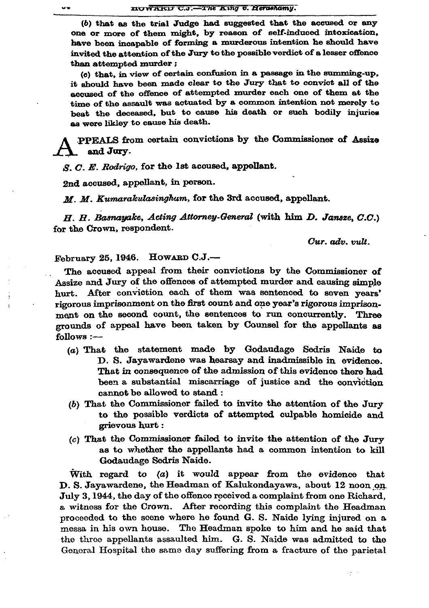(b) that as the trial Judge had suggested that the accused or any one or more of them might, by reason of self-induced intoxication. have been incapable of forming a murderous intention he should have invited the attention of the Jury to the possible verdict of a lesser offence than attempted murder;

(c) that, in view of certain confusion in a passage in the summing-up. it should have been made clear to the Jury that to convict all of the accused of the offence of attempted murder each one of them at the time of the assault was actuated by a common intention not merely to beat the deceased, but to cause his death or such bodily injuries as were likley to cause his death.

PPEALS from certain convictions by the Commissioner of Assize and Jury.

S. C. E. Rodrigo, for the 1st accused, appellant.

2nd accused, appellant, in person.

M. M. Kumarakulasinghum, for the 3rd accused, appellant.

H. H. Basnayake, Acting Attorney-General (with him D. Jansze, C.C.) for the Crown, respondent.

Cur. adv. vult.

February 25, 1946. Howarn C.J.-

The accused appeal from their convictions by the Commissioner of Assize and Jury of the offences of attempted murder and causing simple hurt. After conviction each of them was sentenced to seven years' rigorous imprisonment on the first count and one year's rigorous imprisonment on the second count, the sentences to run concurrently. Three grounds of appeal have been taken by Counsel for the appellants as follows :-

- (a) That the statement made by Godaudage Sedris Naide to D. S. Jayawardene was hearsay and inadmissible in evidence. That in consequence of the admission of this evidence there had been a substantial miscarriage of justice and the conviction cannot be allowed to stand:
- $(b)$  That the Commissioner failed to invite the attention of the Jury to the possible verdicts of attempted culpable homicide and grievous hurt:
- (c) That the Commissioner failed to invite the attention of the Jury as to whether the appellants had a common intention to kill Godaudage Sedris Naide.

With regard to  $(a)$  it would appear from the evidence that D. S. Jayawardene, the Headman of Kalukondayawa, about 12 noon on July 3, 1944, the day of the offence received a complaint from one Richard, a witness for the Crown. After recording this complaint the Headman proceeded to the scene where he found G. S. Naide lying injured on a messa in his own house. The Headman spoke to him and he said that the throe appellants assaulted him. G. S. Naide was admitted to the General Hospital the same day suffering from a fracture of the parietal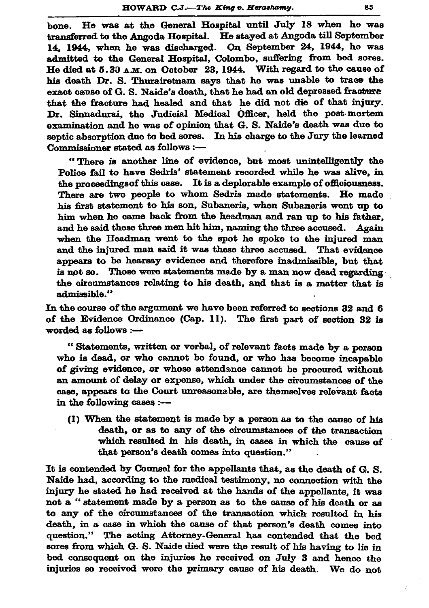bone. He was at the General Hospital until July 18 when he was transferred to the Angoda Hospital. He stayed at Angoda till September 14, 1944, when he was discharged. On September 24, 1944, he was admitted to the General Hospital, Colombo, suffering from bed sores. He died at 5.30 A.M. on October 23, 1944. With regard to the cause of his death Dr. S. Thurairetnam says that he was unable to trace the exact cause of G. S. Naide's death, that he had an old depressed fracture that the fracture had healed and that he did not die of that injury. Dr. Sinnadurai, the Judicial Medical Officer, held the post-mortem examination and he was of opinion that G. S. Naide's death was due to sentic absorption due to bed sores. In his charge to the Jury the learned Commissioner stated as follows :-

"There is another line of evidence, but most unintelligently the Police fail to have Sedris' statement recorded while he was alive, in the proceedings of this case. It is a deplorable example of officiousness. There are two people to whom Sedris made statements. He made his first statement to his son, Subaneris, when Subaneris went up to him when he came back from the headman and ran up to his father. and he said these three men hit him, naming the three accused. Again when the Headman went to the spot he spoke to the injured man and the injured man said it was these three accused. That evidence appears to be hearsay evidence and therefore inadmissible, but that is not so. Those were statements made by a man now dead regarding the circumstances relating to his death, and that is a matter that is admissible."

In the course of the argument we have been referred to sections 32 and 6 of the Evidence Ordinance (Cap. 11). The first part of section 32 is worded as follows :-

"Statements, written or verbal, of relevant facts made by a person who is dead, or who cannot be found, or who has become incapable of giving evidence, or whose attendance cannot be procured without an amount of delay or expense, which under the circumstances of the case, appears to the Court unreasonable, are themselves relevant facts in the following cases :--

(1) When the statement is made by a person as to the cause of his death, or as to any of the circumstances of the transaction which resulted in his death, in cases in which the cause of that person's death comes into question."

It is contended by Counsel for the appellants that, as the death of G. S. Naide had, according to the medical testimony, no connection with the injury he stated he had received at the hands of the appellants, it was not a "statement made by a person as to the cause of his death or as to any of the circumstances of the transaction which resulted in his death, in a case in which the cause of that person's death comes into question." The acting Attorney-General has contended that the bed sores from which G. S. Naide died were the result of his having to lie in bed consequent on the injuries he received on July 3 and hence the injuries so received were the primary cause of his death. We do not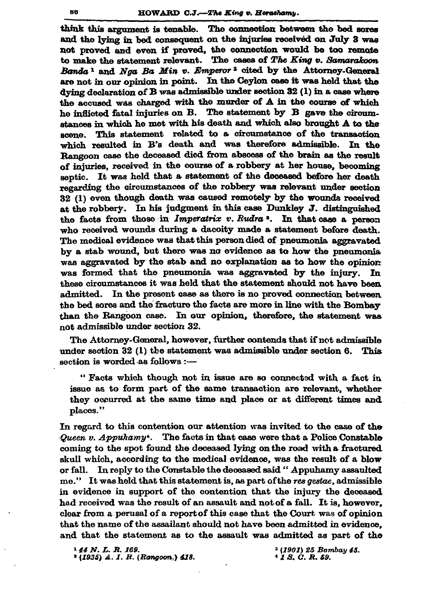think this argument is tenable. The connection between the bed sores and the lying in bed consequent on the injuries received on July 3 was not proved and even if proved, the connection would be too remote to make the statement relevant. The cases of The King v. Samarakoon Banda<sup>1</sup> and Nga Ba Min v. Emperor<sup>2</sup> cited by the Attorney-General are not in our opinion in point. In the Ceylon case it was held that the dying declaration of B was admissible under section 32 (1) in a case where the accused was charged with the murder of A in the course of which he inflicted fatal injuries on B. The statement by B gave the circumstances in which he met with his death and which also brought A to the scene. This statement related to a circumstance of the transaction which resulted in B's death and was therefore admissible. In the Rangoon case the deceased died from abscess of the brain as the result of injuries, received in the course of a robbery at her house, becoming septic. It was held that a statement of the deceased before her death regarding the circumstances of the robbery was relevant under section 32 (1) even though death was caused remotely by the wounds received at the robbery. In his judgment in this case Dunkley J. distinguished the facts from those in *Imperatrix v. Rudra*<sup>3</sup>. In that case a person who received wounds during a dacoity made a statement before death. The medical evidence was that this person died of pneumonia aggravated by a stab wound, but there was no evidence as to how the pneumonia was aggravated by the stab and no explanation as to how the opinion was formed that the pneumonia was aggravated by the injury. In these circumstances it was held that the statement should not have been admitted. In the present case as there is no proved connection between the bed sores and the fracture the facts are more in line with the Bombay than the Rangoon case. In our opinion, therefore, the statement was not admissible under section 32.

The Attorney-General, however, further contends that if not admissible under section 32 (1) the statement was admissible under section 6. This section is worded as follows :-

" Facts which though not in issue are so connected with a fact in issue as to form part of the same transaction are relevant, whether they occurred at the same time and place or at different times and places."

In regard to this contention our attention was invited to the case of the Queen v. Appuhamy<sup>+</sup>. The facts in that case were that a Police Constable coming to the spot found the deceased lying on the road with a fractured skull which, according to the medical evidence, was the result of a blow or fall. In reply to the Constable the deceased said "Appuhamy assaulted me." It was held that this statement is, as part of the res gestae, admissible in evidence in support of the contention that the injury the deceased had received was the result of an assault and not of a fall. It is, however, clear from a perusal of a report of this case that the Court was of opinion that the name of the assailant should not have been admitted in evidence, and that the statement as to the assault was admitted as part of the

<sup>1</sup> 44 N.L.R. 169. <sup>2</sup> (1935) A. I. R. (Rangoon,) 418. <sup>3</sup> (1901) 25 Bombay 45.  $*$  1 S, C. R. 59.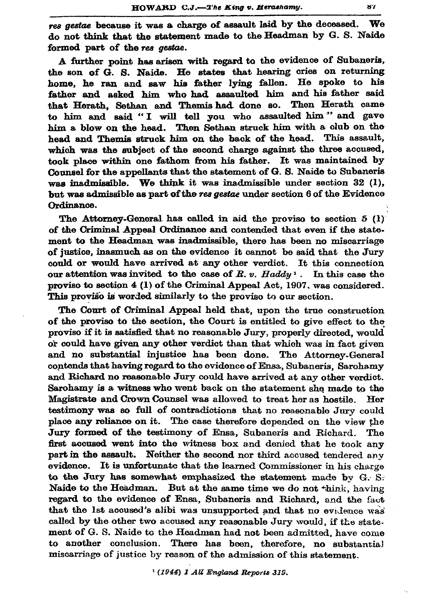res gestae because it was a charge of assault laid by the deceased. We do not think that the statement made to the Headman by G. S. Naide formed part of the res gestae.

A further point has arisen with regard to the evidence of Subaneris. the son of G. S. Naide. He states that hearing cries on returning home, he ran and saw his father lying fallen. He spoke to his father and asked him who had assaulted him and his father said that Herath, Sethan and Themis had done so. Then Herath came to him and said "I will tell you who assaulted him" and gave him a blow on the head. Then Sethan struck him with a club on the head and Themis struck him on the back of the head. This assault, which was the subject of the second charge against the three accused, took place within one fathom from his father. It was maintained by Counsel for the appellants that the statement of G.S. Naide to Subaneris was inadmissible. We think it was inadmissible under section  $32$  (1), but was admissible as part of the res gestae under section 6 of the Evidence Ordinance.

The Attorney-General has called in aid the provise to section  $5(1)$ of the Criminal Appeal Ordinance and contended that even if the statement to the Headman was inadmissible, there has been no miscarriage of justice, inasmuch as on the evidence it cannot be said that the Jury could or would have arrived at any other verdict. It this connection our attention was invited to the case of  $R. v.$  Haddy<sup>1</sup>. In this case the proviso to section 4 (1) of the Criminal Appeal Act, 1907, was considered. This proviso is worded similarly to the proviso to our section.

The Court of Criminal Appeal held that, upon the true construction of the proviso to the section, the Court is entitled to give effect to the proviso if it is satisfied that no reasonable Jury, properly directed, would or could have given any other verdict than that which was in fact given and no substantial injustice has been done. The Attorney-General contends that having regard to the evidence of Ensa, Subaneris, Sarohamy and Richard no reasonable Jury could have arrived at any other verdict. Sarohamy is a witness who went back on the statement she made to the Magistrate and Crown Counsel was allowed to treat her as hostile. Her testimony was so full of contradictions that no reasonable Jury could place any reliance on it. The case therefore depended on the view the Jury formed of the testimony of Ensa, Subaneris and Richard. The first accused went into the witness box and denied that he took any part in the assault. Neither the second nor third accused tendered any evidence. It is unfortunate that the learned Commissioner in his charge to the Jury has somewhat emphasized the statement made by  $G. S.$ Naide to the Headman. But at the same time we do not think, having regard to the evidence of Ensa, Subaneris and Richard, and the fact that the 1st accused's alibi was unsupported and that no evidence was called by the other two accused any reasonable Jury would, if the statement of G. S. Naide to the Headman had not been admitted, have come to another conclusion. There has been, therefore, no substantial miscarriage of justice by reason of the admission of this statement.

<sup>&</sup>lt;sup>1</sup> (1944) I All England Reports 319.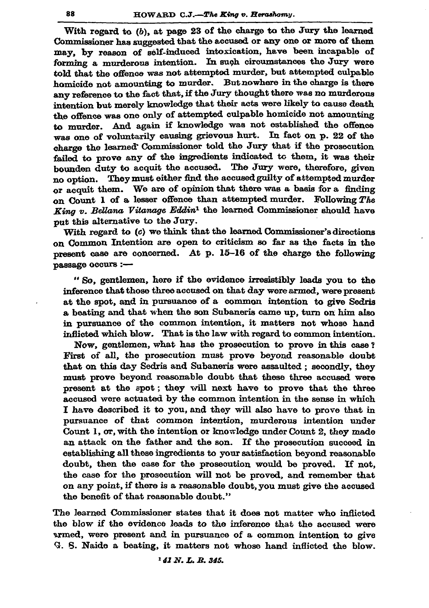With regard to (b), at page 23 of the charge to the Jury the learned Commissioner has suggested that the accused or any one or more of them may, by reason of self-induced intoxication, have been incapable of forming a murderous intention. In such circumstances the Jury were told that the offence was not attempted murder, but attempted culpable homicide not amounting to murder. But nowhere in the charge is there any reference to the fact that, if the Jury thought there was no murderous intention but merely knowledge that their acts were likely to cause death the offence was one only of attempted culpable homicide not amounting to murder. And again if knowledge was not established the offence was one of voluntarily causing grievous hurt. In fact on p. 22 of the charge the learned Commissioner told the Jury that if the prosecution failed to prove any of the ingredients indicated to them, it was their bounden duty to acquit the accused. The Jury were, therefore, given no option. They must either find the accused guilty of attempted murder or acquit them. We are of opinion that there was a basis for a finding on Count 1 of a lesser offence than attempted murder. Following The King v. Bellana Vitanage Eddin<sup>1</sup> the learned Commissioner should have put this alternative to the Jury.

With regard to  $(c)$  we think that the learned Commissioner's directions on Common Intention are open to criticism so far as the facts in the present case are concerned. At p. 15-16 of the charge the following passage occurs :-

"So, gentlemen, here if the evidence irresistibly leads you to the inference that those three accused on that day were armed, were present at the spot, and in pursuance of a common intention to give Sedris a beating and that when the son Subaneris came up, turn on him also in pursuance of the common intention, it matters not whose hand inflicted which blow. That is the law with regard to common intention.

Now, gentlemen, what has the prosecution to prove in this case? First of all, the prosecution must prove beyond reasonable doubt that on this day Sedris and Subaneris were assaulted ; secondly, they must prove beyond reasonable doubt that these three accused were present at the spot; they will next have to prove that the three accused were actuated by the common intention in the sense in which I have described it to you, and they will also have to prove that in pursuance of that common intention, murderous intention under Count 1, or, with the intention or knowledge under Count 2, they made an attack on the father and the son. If the prosecution succeed in establishing all these ingredients to your satisfaction beyond reasonable doubt, then the case for the prosecution would be proved. If not, the case for the prosecution will not be proved, and remember that on any point, if there is a reasonable doubt, you must give the accused the benefit of that reasonable doubt."

The learned Commissioner states that it does not matter who inflicted the blow if the evidence leads to the inference that the accused were armed, were present and in pursuance of a common intention to give G. S. Naide a beating, it matters not whose hand inflicted the blow.